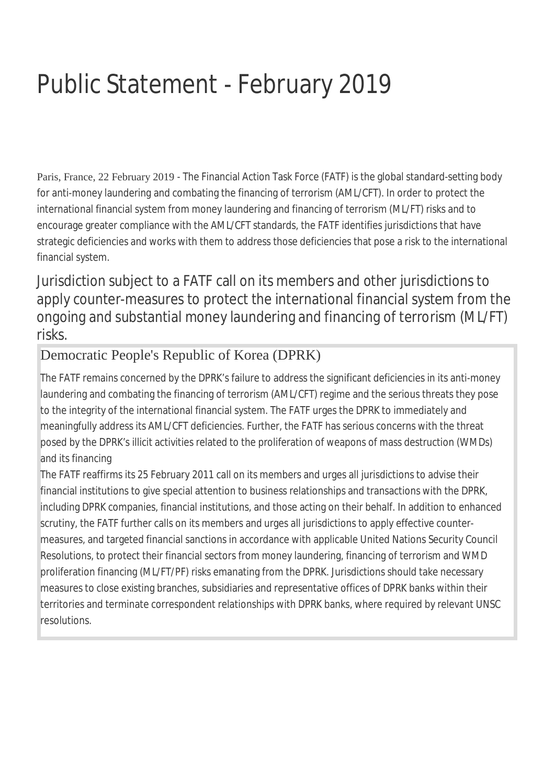## Public Statement - February 2019

Paris, France, 22 February 2019 - The Financial Action Task Force (FATF) is the global standard-setting body for anti-money laundering and combating the financing of terrorism (AML/CFT). In order to protect the international financial system from money laundering and financing of terrorism (ML/FT) risks and to encourage greater compliance with the AML/CFT standards, the FATF identifies jurisdictions that have strategic deficiencies and works with them to address those deficiencies that pose a risk to the international financial system.

Jurisdiction subject to a FATF call on its members and other jurisdictions to apply counter-measures to protect the international financial system from the ongoing and substantial money laundering and financing of terrorism (ML/FT) risks.

## Democratic People's Republic of Korea (DPRK)

The FATF remains concerned by the DPRK's failure to address the significant deficiencies in its anti-money laundering and combating the financing of terrorism (AML/CFT) regime and the serious threats they pose to the integrity of the international financial system. The FATF urges the DPRK to immediately and meaningfully address its AML/CFT deficiencies. Further, the FATF has serious concerns with the threat posed by the DPRK's illicit activities related to the proliferation of weapons of mass destruction (WMDs) and its financing

The FATF reaffirms its 25 February 2011 call on its members and urges all jurisdictions to advise their financial institutions to give special attention to business relationships and transactions with the DPRK, including DPRK companies, financial institutions, and those acting on their behalf. In addition to enhanced scrutiny, the FATF further calls on its members and urges all jurisdictions to apply effective countermeasures, and targeted financial sanctions in accordance with applicable United Nations Security Council Resolutions, to protect their financial sectors from money laundering, financing of terrorism and WMD proliferation financing (ML/FT/PF) risks emanating from the DPRK. Jurisdictions should take necessary measures to close existing branches, subsidiaries and representative offices of DPRK banks within their territories and terminate correspondent relationships with DPRK banks, where required by relevant UNSC resolutions.